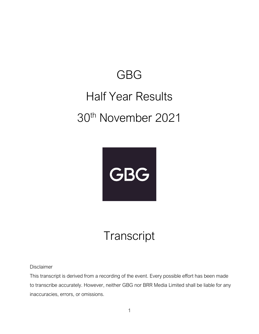## GBG Half Year Results 30th November 2021



## **Transcript**

Disclaimer

This transcript is derived from a recording of the event. Every possible effort has been made to transcribe accurately. However, neither GBG nor BRR Media Limited shall be liable for any inaccuracies, errors, or omissions.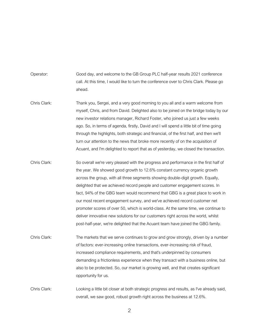Operator: Good day, and welcome to the GB Group PLC half-year results 2021 conference call. At this time, I would like to turn the conference over to Chris Clark. Please go ahead.

- Chris Clark: Thank you, Sergei, and a very good morning to you all and a warm welcome from myself, Chris, and from David. Delighted also to be joined on the bridge today by our new investor relations manager, Richard Foster, who joined us just a few weeks ago. So, in terms of agenda, firstly, David and I will spend a little bit of time going through the highlights, both strategic and financial, of the first half, and then we'll turn our attention to the news that broke more recently of on the acquisition of Acuant, and I'm delighted to report that as of yesterday, we closed the transaction.
- Chris Clark: So overall we're very pleased with the progress and performance in the first half of the year. We showed good growth to 12.6% constant currency organic growth across the group, with all three segments showing double-digit growth. Equally, delighted that we achieved record people and customer engagement scores. In fact, 94% of the GBG team would recommend that GBG is a great place to work in our most recent engagement survey, and we've achieved record customer net promoter scores of over 50, which is world-class. At the same time, we continue to deliver innovative new solutions for our customers right across the world, whilst post-half-year, we're delighted that the Acuant team have joined the GBG family.
- Chris Clark: The markets that we serve continues to grow and grow strongly, driven by a number of factors: ever-increasing online transactions, ever-increasing risk of fraud, increased compliance requirements, and that's underpinned by consumers demanding a frictionless experience when they transact with a business online, but also to be protected. So, our market is growing well, and that creates significant opportunity for us.

Chris Clark: Looking a little bit closer at both strategic progress and results, as I've already said, overall, we saw good, robust growth right across the business at 12.6%.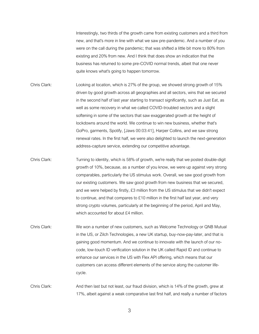Interestingly, two thirds of the growth came from existing customers and a third from new, and that's more in line with what we saw pre-pandemic. And a number of you were on the call during the pandemic; that was shifted a little bit more to 80% from existing and 20% from new. And I think that does show an indication that the business has returned to some pre-COVID normal trends, albeit that one never quite knows what's going to happen tomorrow.

- Chris Clark: Looking at location, which is 27% of the group, we showed strong growth of 15% driven by good growth across all geographies and all sectors, wins that we secured in the second half of last year starting to transact significantly, such as Just Eat, as well as some recovery in what we called COVID-troubled sectors and a slight softening in some of the sectors that saw exaggerated growth at the height of lockdowns around the world. We continue to win new business, whether that's GoPro, garments, Spotify, [Jaws 00:03:41], Harper Collins, and we saw strong renewal rates. In the first half, we were also delighted to launch the next-generation address-capture service, extending our competitive advantage.
- Chris Clark: Turning to identity, which is 58% of growth, we're really that we posted double-digit growth of 10%, because, as a number of you know, we were up against very strong comparables, particularly the US stimulus work. Overall, we saw good growth from our existing customers. We saw good growth from new business that we secured, and we were helped by firstly, £3 million from the US stimulus that we didn't expect to continue, and that compares to £10 million in the first half last year, and very strong crypto volumes, particularly at the beginning of the period, April and May, which accounted for about £4 million.
- Chris Clark: We won a number of new customers, such as Welcome Technology or QNB Mutual in the US, or Zilch Technologies, a new UK startup, buy-now-pay-later, and that is gaining good momentum. And we continue to innovate with the launch of our nocode, low-touch ID verification solution in the UK called Rapid ID and continue to enhance our services in the US with Flex API offering, which means that our customers can access different elements of the service along the customer lifecycle.

Chris Clark: And then last but not least, our fraud division, which is 14% of the growth, grew at 17%, albeit against a weak comparative last first half, and really a number of factors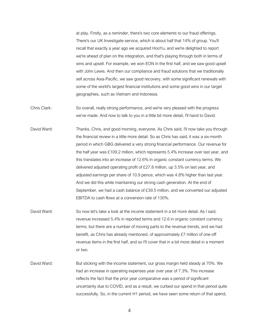at play. Firstly, as a reminder, there's two core elements to our fraud offerings. There's our UK Investigate service, which is about half that 14% of group. You'll recall that exactly a year ago we acquired HooYu, and we're delighted to report we're ahead of plan on the integration, and that's playing through both in terms of wins and upsell. For example, we won EON in the first half, and we saw good upsell with John Lewis. And then our compliance and fraud solutions that we traditionally sell across Asia-Pacific, we saw good recovery, with some significant renewals with some of the world's largest financial institutions and some good wins in our target geographies, such as Vietnam and Indonesia.

Chris Clark: So overall, really strong performance, and we're very pleased with the progress we've made. And now to talk to you in a little bit more detail, I'll hand to David.

David Ward: Thanks, Chris, and good morning, everyone. As Chris said, I'll now take you through the financial review in a little more detail. So as Chris has said, it was a six-month period in which GBG delivered a very strong financial performance. Our revenue for the half year was £109.2 million, which represents 5.4% increase over last year, and this translates into an increase of 12.6% in organic constant currency terms. We delivered adjusted operating profit of £27.8 million, up 3.5% on last year, and adjusted earnings per share of 10.9 pence, which was 4.8% higher than last year. And we did this while maintaining our strong cash generation. At the end of September, we had a cash balance of £39.5 million, and we converted our adjusted EBITDA to cash flows at a conversion rate of 130%.

- David Ward: So now let's take a look at the income statement in a bit more detail. As I said, revenue increased 5.4% in reported terms and 12.6 in organic constant currency terms, but there are a number of moving parts to the revenue trends, and we had benefit, as Chris has already mentioned, of approximately £7 million of one-off revenue items in the first half, and so I'll cover that in a bit more detail in a moment or two.
- David Ward: But sticking with the income statement, our gross margin held steady at 70%. We had an increase in operating expenses year over year of 7.3%. This increase reflects the fact that the prior year comparative was a period of significant uncertainty due to COVID, and as a result, we curbed our spend in that period quite successfully. So, in the current H1 period, we have seen some return of that spend,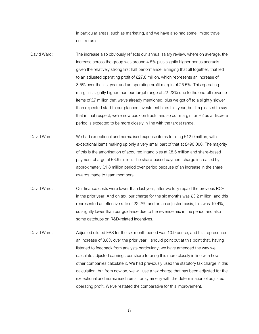in particular areas, such as marketing, and we have also had some limited travel cost return.

- David Ward: The increase also obviously reflects our annual salary review, where on average, the increase across the group was around 4.5% plus slightly higher bonus accruals given the relatively strong first half performance. Bringing that all together, that led to an adjusted operating profit of £27.8 million, which represents an increase of 3.5% over the last year and an operating profit margin of 25.5%. This operating margin is slightly higher than our target range of 22-23% due to the one-off revenue items of £7 million that we've already mentioned, plus we got off to a slightly slower than expected start to our planned investment hires this year, but I'm pleased to say that in that respect, we're now back on track, and so our margin for H2 as a discrete period is expected to be more closely in line with the target range.
- David Ward: We had exceptional and normalised expense items totalling £12.9 million, with exceptional items making up only a very small part of that at £490,000. The majority of this is the amortisation of acquired intangibles at £8.6 million and share-based payment charge of £3.9 million. The share-based payment charge increased by approximately £1.8 million period over period because of an increase in the share awards made to team members.
- David Ward: Our finance costs were lower than last year, after we fully repaid the previous RCF in the prior year. And on tax, our charge for the six months was £3.2 million, and this represented an effective rate of 22.2%, and on an adjusted basis, this was 19.4%, so slightly lower than our guidance due to the revenue mix in the period and also some catchups on R&D-related incentives.
- David Ward: Adjusted diluted EPS for the six-month period was 10.9 pence, and this represented an increase of 3.8% over the prior year. I should point out at this point that, having listened to feedback from analysts particularly, we have amended the way we calculate adjusted earnings per share to bring this more closely in line with how other companies calculate it. We had previously used the statutory tax charge in this calculation, but from now on, we will use a tax charge that has been adjusted for the exceptional and normalised items, for symmetry with the determination of adjusted operating profit. We've restated the comparative for this improvement.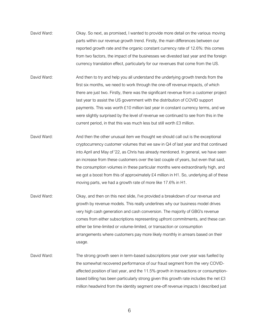- David Ward: Okay. So next, as promised, I wanted to provide more detail on the various moving parts within our revenue growth trend. Firstly, the main differences between our reported growth rate and the organic constant currency rate of 12.6%: this comes from two factors, the impact of the businesses we divested last year and the foreign currency translation effect, particularly for our revenues that come from the US.
- David Ward: And then to try and help you all understand the underlying growth trends from the first six months, we need to work through the one-off revenue impacts, of which there are just two. Firstly, there was the significant revenue from a customer project last year to assist the US government with the distribution of COVID support payments. This was worth £10 million last year in constant currency terms, and we were slightly surprised by the level of revenue we continued to see from this in the current period, in that this was much less but still worth £3 million.
- David Ward: And then the other unusual item we thought we should call out is the exceptional cryptocurrency customer volumes that we saw in Q4 of last year and that continued into April and May of '22, as Chris has already mentioned. In general, we have seen an increase from these customers over the last couple of years, but even that said, the consumption volumes in these particular months were extraordinarily high, and we got a boost from this of approximately £4 million in H1. So, underlying all of these moving parts, we had a growth rate of more like 17.6% in H1.
- David Ward: Okay, and then on this next slide, I've provided a breakdown of our revenue and growth by revenue models. This really underlines why our business model drives very high cash generation and cash conversion. The majority of GBG's revenue comes from either subscriptions representing upfront commitments, and these can either be time-limited or volume-limited, or transaction or consumption arrangements where customers pay more likely monthly in arrears based on their usage.
- David Ward: The strong growth seen in term-based subscriptions year over year was fuelled by the somewhat recovered performance of our fraud segment from the very COVIDaffected position of last year, and the 11.5% growth in transactions or consumptionbased billing has been particularly strong given this growth rate includes the net £3 million headwind from the identity segment one-off revenue impacts I described just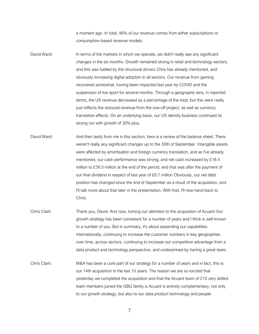a moment ago. In total, 96% of our revenue comes from either subscriptions or consumption-based revenue models.

- David Ward: In terms of the markets in which we operate, we didn't really see any significant changes in the six months. Growth remained strong in retail and technology sectors, and this was fuelled by the structural drivers Chris has already mentioned, and obviously increasing digital adoption in all sectors. Our revenue from gaming recovered somewhat, having been impacted last year by COVID and the suspension of live sport for several months. Through a geographic lens, in reported terms, the US revenue decreased as a percentage of the total, but this were really just reflects the reduced revenue from the one-off project, as well as currency translation effects. On an underlying basis, our US identity business continued its strong run with growth of 30% plus.
- David Ward: And then lastly from me in this section, here is a review of the balance sheet. There weren't really any significant changes up to the 30th of September. Intangible assets were affected by amortisation and foreign currency translation, and as I've already mentioned, our cash performance was strong, and net cash increased by £18.4 million to £39.5 million at the end of the period, and that was after the payment of our final dividend in respect of last year of £6.7 million Obviously, our net debt position has changed since the end of September as a result of the acquisition, and I'll talk more about that later in the presentation. With that, I'll now hand back to Chris.
- Chris Clark: Thank you, David. And now, turning our attention to the acquisition of Acuant Our growth strategy has been consistent for a number of years and I think is well known to a number of you. But in summary, it's about expanding our capabilities internationally, continuing to increase the customer numbers in key geographies over time, across sectors, continuing to increase our competitive advantage from a data product and technology perspective, and underpinned by having a great team.
- Chris Clark: M&A has been a core part of our strategy for a number of years and in fact, this is our 14th acquisition in the last 10 years. The reason we are so excited that yesterday we completed the acquisition and that the Acuant team of 210 very skilled team members joined the GBG family is Acuant is entirely complementary, not only to our growth strategy, but also to our data product technology and people.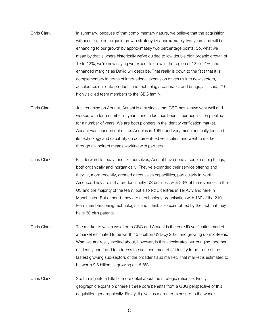- Chris Clark: In summary, because of that complimentary nature, we believe that the acquisition will accelerate our organic growth strategy by approximately two years and will be enhancing to our growth by approximately two percentage points. So, what we mean by that is where historically we've guided to low double digit organic growth of 10 to 12%, we're now saying we expect to grow in the region of 12 to 14%, and enhanced margins as David will describe. That really is down to the fact that it is complementary in terms of international expansion drives us into new sectors, accelerates our data products and technology roadmaps, and brings, as I said, 210 highly skilled team members to the GBG family.
- Chris Clark: Just touching on Acuant, Acuant is a business that GBG has known very well and worked with for a number of years, and in fact has been in our acquisition pipeline for a number of years. We are both pioneers in the identity verification market. Acuant was founded out of Los Angeles in 1999, and very much originally focused its technology and capability on document-led verification and went to market through an indirect means working with partners.
- Chris Clark: Fast forward to today, and like ourselves, Acuant have done a couple of big things, both organically and inorganically. They've expanded their service offering and they've, more recently, created direct sales capabilities, particularly in North America. They are still a predominantly US business with 83% of the revenues in the US and the majority of the team, but also R&D centres in Tel Aviv and here in Manchester. But at heart, they are a technology organisation with 130 of the 210 team members being technologists and I think also exemplified by the fact that they have 30 plus patents.
- Chris Clark: The market to which we of both GBG and Acuant is the core ID verification market; a market estimated to be worth 15.8 billion USD by 2025 and growing up mid-teens. What we are really excited about, however, is this accelerates our bringing together of identity and fraud to address the adjacent market of identity fraud - one of the fastest growing sub-sectors of the broader fraud market. That market is estimated to be worth 9.6 billion us growing at 15.8%.
- Chris Clark: So, turning into a little bit more detail about the strategic rationale. Firstly, geographic expansion: there's three core benefits from a GBG perspective of this acquisition geographically. Firstly, it gives us a greater exposure to the world's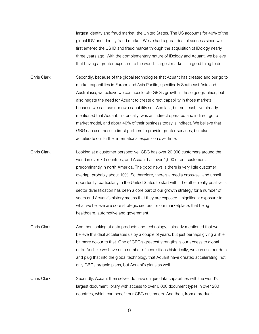largest identity and fraud market, the United States. The US accounts for 40% of the global IDV and identity fraud market. We've had a great deal of success since we first entered the US ID and fraud market through the acquisition of IDology nearly three years ago. With the complementary nature of IDology and Acuant, we believe that having a greater exposure to the world's largest market is a good thing to do.

- Chris Clark: Secondly, because of the global technologies that Acuant has created and our go to market capabilities in Europe and Asia Pacific, specifically Southeast Asia and Australasia, we believe we can accelerate GBGs growth in those geographies, but also negate the need for Acuant to create direct capability in those markets because we can use our own capability set. And last, but not least, I've already mentioned that Acuant, historically, was an indirect operated and indirect go to market model, and about 40% of their business today is indirect. We believe that GBG can use those indirect partners to provide greater services, but also accelerate our further international expansion over time.
- Chris Clark: Looking at a customer perspective, GBG has over 20,000 customers around the world in over 70 countries, and Acuant has over 1,000 direct customers, predominantly in north America. The good news is there is very little customer overlap, probably about 10%. So therefore, there's a media cross-sell and upsell opportunity, particularly in the United States to start with. The other really positive is sector diversification has been a core part of our growth strategy for a number of years and Acuant's history means that they are exposed... significant exposure to what we believe are core strategic sectors for our marketplace; that being healthcare, automotive and government.
- Chris Clark: And then looking at data products and technology, I already mentioned that we believe this deal accelerates us by a couple of years, but just perhaps giving a little bit more colour to that. One of GBG's greatest strengths is our access to global data. And like we have on a number of acquisitions historically, we can use our data and plug that into the global technology that Acuant have created accelerating, not only GBGs organic plans, but Acuant's plans as well.
- Chris Clark: Secondly, Acuant themselves do have unique data capabilities with the world's largest document library with access to over 6,000 document types in over 200 countries, which can benefit our GBG customers. And then, from a product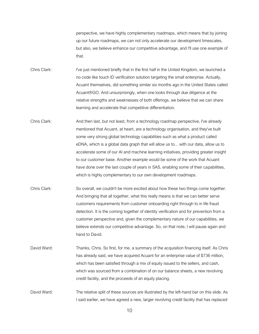perspective, we have highly complementary roadmaps, which means that by joining up our future roadmaps, we can not only accelerate our development timescales, but also, we believe enhance our competitive advantage, and I'll use one example of that.

Chris Clark: I've just mentioned briefly that in the first half in the United Kingdom, we launched a no code like touch ID verification solution targeting the small enterprise. Actually, Acuant themselves, did something similar six months ago in the United States called Acuant®GO. And unsurprisingly, when one looks through due diligence at the relative strengths and weaknesses of both offerings, we believe that we can share learning and accelerate that competitive differentiation.

Chris Clark: And then last, but not least, from a technology roadmap perspective, I've already mentioned that Acuant, at heart, are a technology organisation, and they've built some very strong global technology capabilities such as what a product called eDNA, which is a global data graph that will allow us to... with our data, allow us to accelerate some of our AI and machine learning initiatives, providing greater insight to our customer base. Another example would be some of the work that Acuant have done over the last couple of years in SAS, enabling some of their capabilities, which is highly complementary to our own development roadmaps.

- Chris Clark: So overall, we couldn't be more excited about how these two things come together. And bringing that all together, what this really means is that we can better serve customers requirements from customer onboarding right through to in life fraud detection. It is the coming together of identity verification and for prevention from a customer perspective and, given the complementary nature of our capabilities, we believe extends our competitive advantage. So, on that note, I will pause again and hand to David.
- David Ward: Thanks, Chris. So first, for me, a summary of the acquisition financing itself. As Chris has already said, we have acquired Acuant for an enterprise value of \$736 million, which has been satisfied through a mix of equity issued to the sellers, and cash, which was sourced from a combination of on our balance sheets, a new revolving credit facility, and the proceeds of an equity placing.

David Ward: The relative split of these sources are illustrated by the left-hand bar on this slide. As I said earlier, we have agreed a new, larger revolving credit facility that has replaced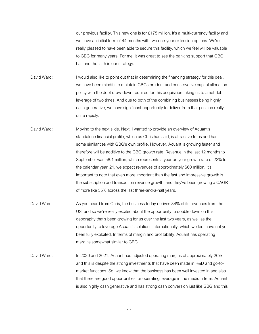our previous facility. This new one is for £175 million. It's a multi-currency facility and we have an initial term of 44 months with two one-year extension options. We're really pleased to have been able to secure this facility, which we feel will be valuable to GBG for many years. For me, it was great to see the banking support that GBG has and the faith in our strategy.

David Ward: I would also like to point out that in determining the financing strategy for this deal, we have been mindful to maintain GBGs prudent and conservative capital allocation policy with the debt draw-down required for this acquisition taking us to a net debt leverage of two times. And due to both of the combining businesses being highly cash generative, we have significant opportunity to deliver from that position really quite rapidly.

- David Ward: Moving to the next slide. Next, I wanted to provide an overview of Acuant's standalone financial profile, which as Chris has said, is attractive to us and has some similarities with GBG's own profile. However, Acuant is growing faster and therefore will be additive to the GBG growth rate. Revenue in the last 12 months to September was 58.1 million, which represents a year on year growth rate of 22% for the calendar year '21, we expect revenues of approximately \$60 million. It's important to note that even more important than the fast and impressive growth is the subscription and transaction revenue growth, and they've been growing a CAGR of more like 35% across the last three-and-a-half years.
- David Ward: As you heard from Chris, the business today derives 84% of its revenues from the US, and so we're really excited about the opportunity to double down on this geography that's been growing for us over the last two years, as well as the opportunity to leverage Acuant's solutions internationally, which we feel have not yet been fully exploited. In terms of margin and profitability, Acuant has operating margins somewhat similar to GBG.
- David Ward: In 2020 and 2021, Acuant had adjusted operating margins of approximately 20% and this is despite the strong investments that have been made in R&D and go-tomarket functions. So, we know that the business has been well invested in and also that there are good opportunities for operating leverage in the medium term. Acuant is also highly cash generative and has strong cash conversion just like GBG and this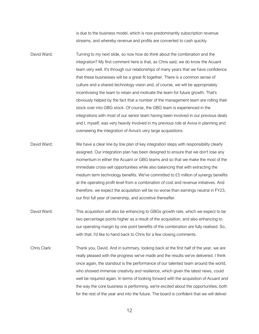is due to the business model, which is now predominantly subscription revenue streams, and whereby revenue and profits are converted to cash quickly.

- David Ward: Turning to my next slide, so now how do think about the combination and the integration? My first comment here is that, as Chris said, we do know the Acuant team very well. It's through our relationships of many years that we have confidence that these businesses will be a great fit together. There is a common sense of culture and a shared technology vision and, of course, we will be appropriately incentivising the team to retain and motivate the team for future growth. That's obviously helped by the fact that a number of the management team are rolling their stock over into GBG stock. Of course, the GBG team is experienced in the integrations with most of our senior team having been involved in our previous deals and I, myself, was very heavily involved in my previous role at Aviva in planning and overseeing the integration of Aviva's very large acquisitions.
- David Ward: We have a clear line by line plan of key integration steps with responsibility clearly assigned. Our integration plan has been designed to ensure that we don't lose any momentum in either the Acuant or GBG teams and so that we make the most of the immediate cross-sell opportunities while also balancing that with extracting the medium term technology benefits. We've committed to £5 million of synergy benefits at the operating profit level from a combination of cost and revenue initiatives. And therefore, we expect the acquisition will be no worse than earnings neutral in FY23, our first full year of ownership, and accretive thereafter.
- David Ward: This acquisition will also be enhancing to GBGs growth rate, which we expect to be two percentage points higher as a result of the acquisition, and also enhancing to our operating margin by one point benefits of the combination are fully realised. So, with that, I'd like to hand back to Chris for a few closing comments.
- Chris Clark: Thank you, David. And in summary, looking back at the first half of the year, we are really pleased with the progress we've made and the results we've delivered. I think once again, the standout is the performance of our talented team around the world, who showed immense creativity and resilience, which given the latest news, could well be required again. In terms of looking forward with the acquisition of Acuant and the way the core business is performing, we're excited about the opportunities, both for the rest of the year and into the future. The board is confident that we will deliver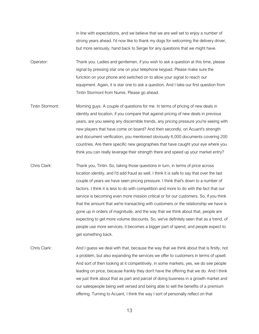in line with expectations, and we believe that we are well set to enjoy a number of strong years ahead. I'd now like to thank my dogs for welcoming the delivery driver, but more seriously, hand back to Sergei for any questions that we might have.

Operator: Thank you. Ladies and gentlemen, if you wish to ask a question at this time, please signal by pressing star one on your telephone keypad. Please make sure the function on your phone and switched on to allow your signal to reach our equipment. Again, it is star one to ask a question. And I take our first question from Tintin Stormont from Numis. Please go ahead.

Tintin Stormont: Morning guys. A couple of questions for me. In terms of pricing of new deals in identity and location, if you compare that against pricing of new deals in previous years, are you seeing any discernible trends, any pricing pressure you're seeing with new players that have come on board? And then secondly, on Acuant's strength and document verification, you mentioned obviously 6,000 documents covering 200 countries. Are there specific new geographies that have caught your eye where you think you can really leverage their strength there and speed up your market entry?

- Chris Clark: Thank you, Tintin. So, taking those questions in turn, in terms of price across location identity, and I'd add fraud as well, I think it is safe to say that over the last couple of years we have seen pricing pressure. I think that's down to a number of factors. I think it is less to do with competition and more to do with the fact that our service is becoming even more mission critical or for our customers. So, if you think that the amount that we're transacting with customers or the relationship we have is gone up in orders of magnitude, and the way that we think about that, people are expecting to get more volume discounts. So, we've definitely seen that as a trend, of people use more services, it becomes a bigger part of spend, and people expect to get something back.
- Chris Clark: And I guess we deal with that, because the way that we think about that is firstly, not a problem, but also expanding the services we offer to customers in terms of upsell. And sort of then looking at it competitively, in some markets, yes, we do see people leading on price, because frankly they don't have the offering that we do. And I think we just think about that as part and parcel of doing business in a growth market and our salespeople being well versed and being able to sell the benefits of a premium offering. Turning to Acuant, I think the way I sort of personally reflect on that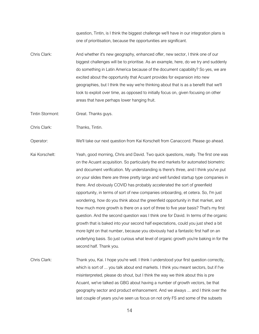question, Tintin, is I think the biggest challenge we'll have in our integration plans is one of prioritisation, because the opportunities are significant.

Chris Clark: And whether it's new geography, enhanced offer, new sector, I think one of our biggest challenges will be to prioritise. As an example, here, do we try and suddenly do something in Latin America because of the document capability? So yes, we are excited about the opportunity that Acuant provides for expansion into new geographies, but I think the way we're thinking about that is as a benefit that we'll look to exploit over time, as opposed to initially focus on, given focusing on other areas that have perhaps lower hanging fruit.

Tintin Stormont: Great. Thanks guys.

Chris Clark: Thanks, Tintin.

Operator: We'll take our next question from Kai Korschelt from Canaccord. Please go ahead.

- Kai Korschelt: Yeah, good morning, Chris and David. Two quick questions, really. The first one was on the Acuant acquisition. So particularly the end markets for automated biometric and document verification. My understanding is there's three, and I think you've put on your slides there are three pretty large and well funded startup type companies in there. And obviously COVID has probably accelerated the sort of greenfield opportunity, in terms of sort of new companies onboarding, et cetera. So, I'm just wondering, how do you think about the greenfield opportunity in that market, and how much more growth is there on a sort of three to five year basis? That's my first question. And the second question was I think one for David. In terms of the organic growth that is baked into your second half expectations, could you just shed a bit more light on that number, because you obviously had a fantastic first half on an underlying basis. So just curious what level of organic growth you're baking in for the second half. Thank you.
- Chris Clark: Thank you, Kai. I hope you're well. I think I understood your first question correctly, which is sort of ... you talk about end markets. I think you meant sectors, but if I've misinterpreted, please do shout, but I think the way we think about this is pre Acuant, we've talked as GBG about having a number of growth vectors, be that geography sector and product enhancement. And we always ... and I think over the last couple of years you've seen us focus on not only FS and some of the subsets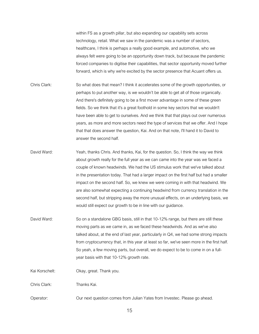within FS as a growth pillar, but also expanding our capability sets across technology, retail. What we saw in the pandemic was a number of sectors, healthcare, I think is perhaps a really good example, and automotive, who we always felt were going to be an opportunity down track, but because the pandemic forced companies to digitise their capabilities, that sector opportunity moved further forward, which is why we're excited by the sector presence that Acuant offers us.

- Chris Clark: So what does that mean? I think it accelerates some of the growth opportunities, or perhaps to put another way, is we wouldn't be able to get all of those organically. And there's definitely going to be a first mover advantage in some of these green fields. So we think that it's a great foothold in some key sectors that we wouldn't have been able to get to ourselves. And we think that that plays out over numerous years, as more and more sectors need the type of services that we offer. And I hope that that does answer the question, Kai. And on that note, I'll hand it to David to answer the second half.
- David Ward: Yeah, thanks Chris. And thanks, Kai, for the question. So, I think the way we think about growth really for the full year as we can came into the year was we faced a couple of known headwinds. We had the US stimulus work that we've talked about in the presentation today. That had a larger impact on the first half but had a smaller impact on the second half. So, we knew we were coming in with that headwind. We are also somewhat expecting a continuing headwind from currency translation in the second half, but stripping away the more unusual effects, on an underlying basis, we would still expect our growth to be in line with our guidance.
- David Ward: So on a standalone GBG basis, still in that 10-12% range, but there are still these moving parts as we came in, as we faced these headwinds. And as we've also talked about, at the end of last year, particularly in Q4, we had some strong impacts from cryptocurrency that, in this year at least so far, we've seen more in the first half. So yeah, a few moving parts, but overall, we do expect to be to come in on a fullyear basis with that 10-12% growth rate.

Kai Korschelt: Okay, great. Thank you.

Chris Clark: Thanks Kai.

Operator: Our next question comes from Julian Yates from Investec. Please go ahead.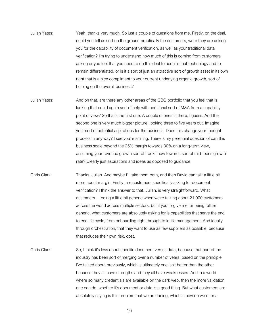- Julian Yates: Yeah, thanks very much. So just a couple of questions from me. Firstly, on the deal, could you tell us sort on the ground practically the customers, were they are asking you for the capability of document verification, as well as your traditional data verification? I'm trying to understand how much of this is coming from customers asking or you feel that you need to do this deal to acquire that technology and to remain differentiated, or is it a sort of just an attractive sort of growth asset in its own right that is a nice compliment to your current underlying organic growth, sort of helping on the overall business?
- Julian Yates: And on that, are there any other areas of the GBG portfolio that you feel that is lacking that could again sort of help with additional sort of M&A from a capability point of view? So that's the first one. A couple of ones in there, I guess. And the second one is very much bigger picture, looking three to five years out. Imagine your sort of potential aspirations for the business. Does this change your thought process in any way? I see you're smiling. There is my perennial question of can this business scale beyond the 25% margin towards 30% on a long-term view, assuming your revenue growth sort of tracks now towards sort of mid-teens growth rate? Clearly just aspirations and ideas as opposed to guidance.
- Chris Clark: Thanks, Julian. And maybe I'll take them both, and then David can talk a little bit more about margin. Firstly, are customers specifically asking for document verification? I think the answer to that, Julian, is very straightforward. What customers ... being a little bit generic when we're talking about 21,000 customers across the world across multiple sectors, but if you forgive me for being rather generic, what customers are absolutely asking for is capabilities that serve the end to end life cycle, from onboarding right through to in life management. And ideally through orchestration, that they want to use as few suppliers as possible, because that reduces their own risk, cost.
- Chris Clark: So, I think it's less about specific document versus data, because that part of the industry has been sort of merging over a number of years, based on the principle I've talked about previously, which is ultimately one isn't better than the other because they all have strengths and they all have weaknesses. And in a world where so many credentials are available on the dark web, then the more validation one can do, whether it's document or data is a good thing. But what customers are absolutely saying is this problem that we are facing, which is how do we offer a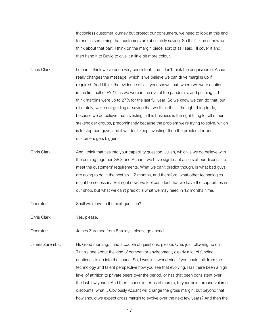frictionless customer journey but protect our consumers, we need to look at this end to end, is something that customers are absolutely saying. So that's kind of how we think about that part. I think on the margin piece, sort of as I said, I'll cover it and then hand it to David to give it a little bit more colour.

Chris Clark: I mean, I think we've been very consistent, and I don't think the acquisition of Acuant really changes the message, which is we believe we can drive margins up if required. And I think the evidence of last year shows that, where we were cautious in the first half of FY21, as we were in the eye of the pandemic, and pushing ... I think margins were up to 27% for the last full year. So we know we can do that, but ultimately, we're not guiding or saying that we think that's the right thing to do, because we do believe that investing in this business is the right thing for all of our stakeholder groups, predominantly because the problem we're trying to solve, which is to stop bad guys, and if we don't keep investing, then the problem for our customers gets bigger.

- Chris Clark: And I think that ties into your capability question, Julian, which is we do believe with the coming together GBG and Acuant, we have significant assets at our disposal to meet the customers' requirements. What we can't predict though, is what bad guys are going to do in the next six, 12 months, and therefore, what other technologies might be necessary. But right now, we feel confident that we have the capabilities in our shop, but what we can't predict is what we may need in 12 months' time.
- Operator: Shall we move to the next question?

Chris Clark: Yes, please.

Operator: James Zaremba from Barclays, please go ahead.

James Zaremba: Hi. Good morning. I had a couple of questions, please. One, just following up on Tintin's one about the kind of competitor environment, clearly a lot of funding continues to go into the space. So, I was just wondering if you could talk from the technology and talent perspective how you see that evolving. Has there been a high level of attrition to private peers over the period, or has that been consistent over the last few years? And then I guess in terms of margin, to your point around volume discounts, what... Obviously Acuant will change the gross margin, but beyond that, how should we expect gross margin to evolve over the next few years? And then the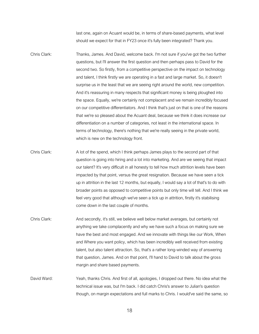last one, again on Acuant would be, in terms of share-based payments, what level should we expect for that in FY23 once it's fully been integrated? Thank you.

- Chris Clark: Thanks, James. And David, welcome back. I'm not sure if you've got the two further questions, but I'll answer the first question and then perhaps pass to David for the second two. So firstly, from a competitive perspective on the impact on technology and talent, I think firstly we are operating in a fast and large market. So, it doesn't surprise us in the least that we are seeing right around the world, new competition. And it's reassuring in many respects that significant money is being ploughed into the space. Equally, we're certainly not complacent and we remain incredibly focused on our competitive differentiators. And I think that's just on that is one of the reasons that we're so pleased about the Acuant deal, because we think it does increase our differentiation on a number of categories, not least in the international space. In terms of technology, there's nothing that we're really seeing in the private world, which is new on the technology front.
- Chris Clark: A lot of the spend, which I think perhaps James plays to the second part of that question is going into hiring and a lot into marketing. And are we seeing that impact our talent? It's very difficult in all honesty to tell how much attrition levels have been impacted by that point, versus the great resignation. Because we have seen a tick up in attrition in the last 12 months, but equally, I would say a lot of that's to do with broader points as opposed to competitive points but only time will tell. And I think we feel very good that although we've seen a tick up in attrition, firstly it's stabilising come down in the last couple of months.
- Chris Clark: And secondly, it's still, we believe well below market averages, but certainly not anything we take complacently and why we have such a focus on making sure we have the best and most engaged. And we innovate with things like our Work, When and Where you want policy, which has been incredibly well received from existing talent, but also talent attraction. So, that's a rather long-winded way of answering that question, James. And on that point, I'll hand to David to talk about the gross margin and share based payments.
- David Ward: Yeah, thanks Chris. And first of all, apologies, I dropped out there. No idea what the technical issue was, but I'm back. I did catch Chris's answer to Julian's question though, on margin expectations and full marks to Chris. I would've said the same, so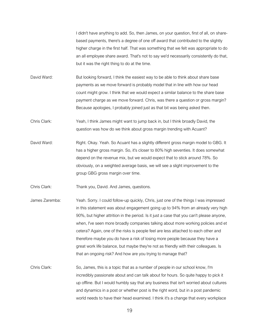I didn't have anything to add. So, then James, on your question, first of all, on sharebased payments, there's a degree of one off award that contributed to the slightly higher charge in the first half. That was something that we felt was appropriate to do an all employee share award. That's not to say we'd necessarily consistently do that, but it was the right thing to do at the time.

David Ward: But looking forward, I think the easiest way to be able to think about share base payments as we move forward is probably model that in line with how our head count might grow. I think that we would expect a similar balance to the share base payment charge as we move forward. Chris, was there a question or gross margin? Because apologies, I probably joined just as that bit was being asked then.

Chris Clark: Yeah, I think James might want to jump back in, but I think broadly David, the question was how do we think about gross margin trending with Acuant?

David Ward: Right. Okay. Yeah. So Acuant has a slightly different gross margin model to GBG. It has a higher gross margin. So, it's closer to 80% high seventies. It does somewhat depend on the revenue mix, but we would expect that to stick around 78%. So obviously, on a weighted average basis, we will see a slight improvement to the group GBG gross margin over time.

Chris Clark: Thank you, David. And James, questions.

James Zaremba: Yeah. Sorry. I could follow-up quickly, Chris, just one of the things I was impressed in this statement was about engagement going up to 94% from an already very high 90%, but higher attrition in the period. Is it just a case that you can't please anyone, when, I've seen more broadly companies talking about more working policies and et cetera? Again, one of the risks is people feel are less attached to each other and therefore maybe you do have a risk of losing more people because they have a great work life balance, but maybe they're not as friendly with their colleagues. Is that an ongoing risk? And how are you trying to manage that?

Chris Clark: So, James, this is a topic that as a number of people in our school know, I'm incredibly passionate about and can talk about for hours. So quite happy to pick it up offline. But I would humbly say that any business that isn't worried about cultures and dynamics in a post or whether post is the right word, but in a post pandemic world needs to have their head examined. I think it's a change that every workplace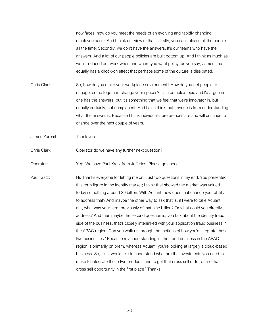now faces, how do you meet the needs of an evolving and rapidly changing employee base? And I think our view of that is firstly, you can't please all the people all the time. Secondly, we don't have the answers. It's our teams who have the answers. And a lot of our people policies are built bottom up. And I think as much as we introduced our work when and where you want policy, as you say, James, that equally has a knock-on effect that perhaps some of the culture is dissipated.

- Chris Clark: So, how do you make your workplace environment? How do you get people to engage, come together, change your spaces? It's a complex topic and I'd argue no one has the answers, but it's something that we feel that we're innovator in, but equally certainly, not complacent. And I also think that anyone is from understanding what the answer is. Because I think individuals' preferences are and will continue to change over the next couple of years.
- James Zaremba: Thank you.
- Chris Clark: Operator do we have any further next question?

Operator: Yep. We have Paul Kratz from Jefferies. Please go ahead.

Paul Kratz: Hi. Thanks everyone for letting me on. Just two questions in my end. You presented this term figure in the identity market; I think that showed the market was valued today something around \$9 billion. With Acuant, how does that change your ability to address that? And maybe the other way to ask that is, if I were to take Acuant out, what was your term previously of that nine billion? Or what could you directly address? And then maybe the second question is, you talk about the identity fraud side of the business, that's closely interlinked with your application fraud business in the APAC region. Can you walk us through the motions of how you'd integrate those two businesses? Because my understanding is, the fraud business in the APAC region is primarily on prem, whereas Acuant, you're looking at largely a cloud-based business. So, I just would like to understand what are the investments you need to make to integrate those two products and to get that cross sell or to realise that cross sell opportunity in the first place? Thanks.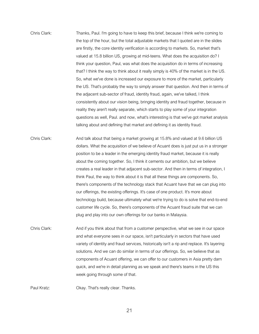- Chris Clark: Thanks, Paul. I'm going to have to keep this brief, because I think we're coming to the top of the hour, but the total adjustable markets that I quoted are in the slides are firstly, the core identity verification is according to markets. So, market that's valued at 15.8 billion US, growing at mid-teens. What does the acquisition do? I think your question, Paul, was what does the acquisition do in terms of increasing that? I think the way to think about it really simply is 40% of the market is in the US. So, what we've done is increased our exposure to more of the market, particularly the US. That's probably the way to simply answer that question. And then in terms of the adjacent sub-sector of fraud, identity fraud, again, we've talked, I think consistently about our vision being, bringing identity and fraud together, because in reality they aren't really separate, which starts to play some of your integration questions as well, Paul. and now, what's interesting is that we've got market analysis talking about and defining that market and defining it as identity fraud.
- Chris Clark: And talk about that being a market growing at 15.8% and valued at 9.6 billion US dollars. What the acquisition of we believe of Acuant does is just put us in a stronger position to be a leader in the emerging identity fraud market, because it is really about the coming together. So, I think it cements our ambition, but we believe creates a real leader in that adjacent sub-sector. And then in terms of integration, I think Paul, the way to think about it is that all these things are components. So, there's components of the technology stack that Acuant have that we can plug into our offerings, the existing offerings. It's case of one product. It's more about technology build, because ultimately what we're trying to do is solve that end-to-end customer life cycle. So, there's components of the Acuant fraud suite that we can plug and play into our own offerings for our banks in Malaysia.
- Chris Clark: And if you think about that from a customer perspective, what we see in our space and what everyone sees in our space, isn't particularly in sectors that have used variety of identity and fraud services, historically isn't a rip and replace. It's layering solutions. And we can do similar in terms of our offerings. So, we believe that as components of Acuant offering, we can offer to our customers in Asia pretty darn quick, and we're in detail planning as we speak and there's teams in the US this week going through some of that.

Paul Kratz: Okay. That's really clear. Thanks.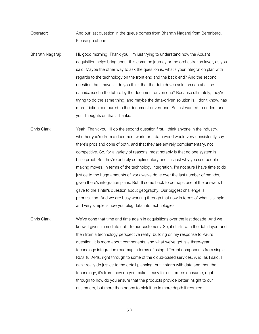Operator: And our last question in the queue comes from Bharath Nagaraj from Berenberg. Please go ahead.

Bharath Nagaraj: Hi, good morning. Thank you. I'm just trying to understand how the Acuant acquisition helps bring about this common journey or the orchestration layer, as you said. Maybe the other way to ask the question is, what's your integration plan with regards to the technology on the front end and the back end? And the second question that I have is, do you think that the data driven solution can at all be cannibalised in the future by the document driven one? Because ultimately, they're trying to do the same thing, and maybe the data-driven solution is, I don't know, has more friction compared to the document driven-one. So just wanted to understand your thoughts on that. Thanks.

Chris Clark: Yeah. Thank you. I'll do the second question first. I think anyone in the industry, whether you're from a document world or a data world would very consistently say there's pros and cons of both, and that they are entirely complementary, not competitive. So, for a variety of reasons, most notably is that no one system is bulletproof. So, they're entirely complimentary and it is just why you see people making moves. In terms of the technology integration, I'm not sure I have time to do justice to the huge amounts of work we've done over the last number of months, given there's integration plans. But I'll come back to perhaps one of the answers I gave to the Tintin's question about geography. Our biggest challenge is prioritisation. And we are busy working through that now in terms of what is simple and very simple is how you plug data into technologies.

Chris Clark: We've done that time and time again in acquisitions over the last decade. And we know it gives immediate uplift to our customers. So, it starts with the data layer, and then from a technology perspective really, building on my response to Paul's question, it is more about components, and what we've got is a three-year technology integration roadmap in terms of using different components from single RESTful APIs, right through to some of the cloud-based services. And, as I said, I can't really do justice to the detail planning, but it starts with data and then the technology, it's from, how do you make it easy for customers consume, right through to how do you ensure that the products provide better insight to our customers, but more than happy to pick it up in more depth if required.